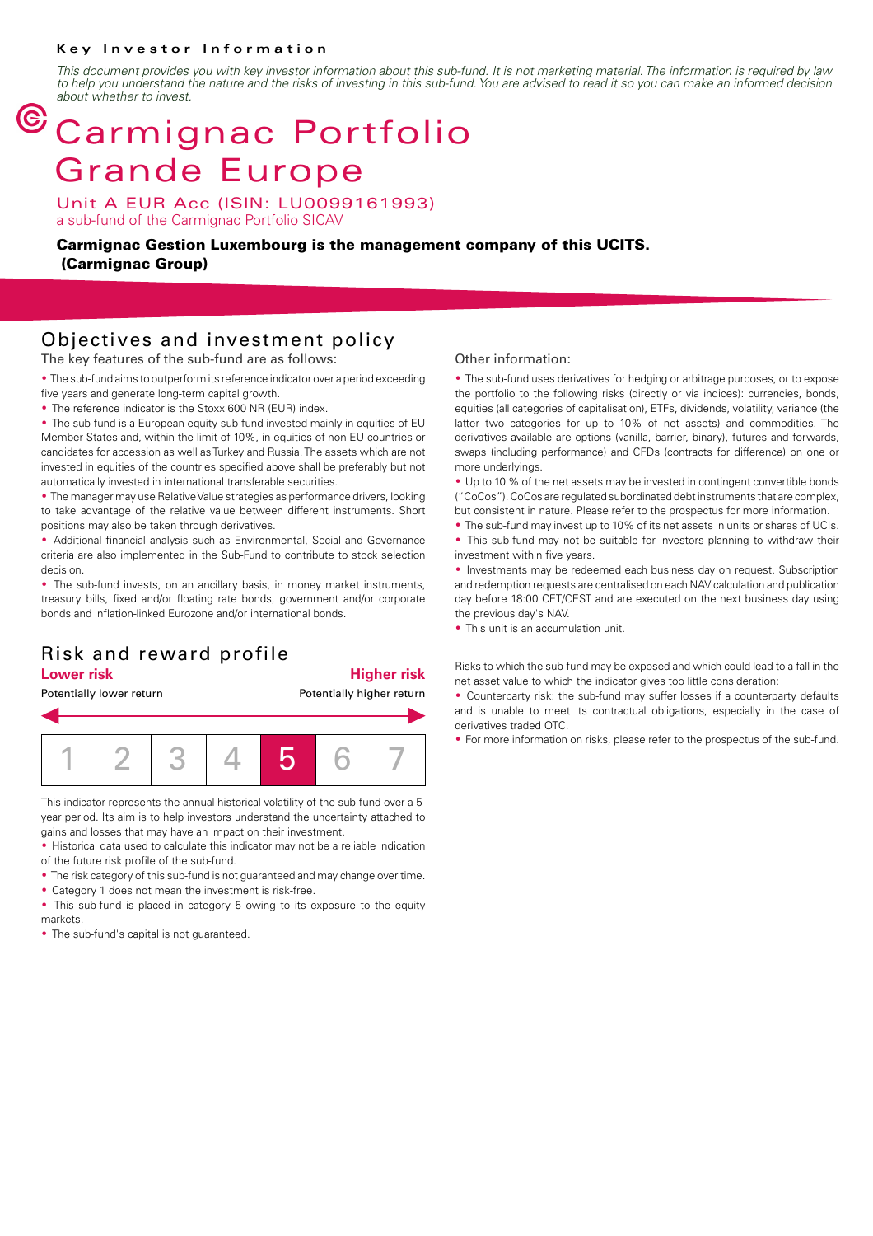#### **Key Investor Information**

*This document provides you with key investor information about this sub-fund. It is not marketing material. The information is required by law to help you understand the nature and the risks of investing in this sub-fund. You are advised to read it so you can make an informed decision about whether to invest.*

# $<sup>©</sup> Carmignac Portfolio$ </sup> Grande Europe

Unit A EUR Acc (ISIN: LU0099161993) a sub-fund of the Carmignac Portfolio SICAV

**Carmignac Gestion Luxembourg is the management company of this UCITS. (Carmignac Group)**

### Objectives and investment policy

The key features of the sub-fund are as follows:

• The sub-fund aims to outperform its reference indicator over a period exceeding five years and generate long-term capital growth.

• The reference indicator is the Stoxx 600 NR (EUR) index.

• The sub-fund is a European equity sub-fund invested mainly in equities of EU Member States and, within the limit of 10%, in equities of non-EU countries or candidates for accession as well as Turkey and Russia. The assets which are not invested in equities of the countries specified above shall be preferably but not automatically invested in international transferable securities.

• The manager may use Relative Value strategies as performance drivers, looking to take advantage of the relative value between different instruments. Short positions may also be taken through derivatives.

• Additional financial analysis such as Environmental, Social and Governance criteria are also implemented in the Sub-Fund to contribute to stock selection decision.

• The sub-fund invests, on an ancillary basis, in money market instruments, treasury bills, fixed and/or floating rate bonds, government and/or corporate bonds and inflation-linked Eurozone and/or international bonds.

## Risk and reward profile

**Lower risk Higher risk**

### Potentially lower return **Potentially higher return**



This indicator represents the annual historical volatility of the sub-fund over a 5 year period. Its aim is to help investors understand the uncertainty attached to gains and losses that may have an impact on their investment.

• Historical data used to calculate this indicator may not be a reliable indication of the future risk profile of the sub-fund.

• The risk category of this sub-fund is not guaranteed and may change over time.

• Category 1 does not mean the investment is risk-free.

• This sub-fund is placed in category 5 owing to its exposure to the equity markets.

• The sub-fund's capital is not guaranteed.

#### Other information:

• The sub-fund uses derivatives for hedging or arbitrage purposes, or to expose the portfolio to the following risks (directly or via indices): currencies, bonds, equities (all categories of capitalisation), ETFs, dividends, volatility, variance (the latter two categories for up to 10% of net assets) and commodities. The derivatives available are options (vanilla, barrier, binary), futures and forwards, swaps (including performance) and CFDs (contracts for difference) on one or more underlyings.

• Up to 10 % of the net assets may be invested in contingent convertible bonds ("CoCos"). CoCos are regulated subordinated debt instruments that are complex, but consistent in nature. Please refer to the prospectus for more information.

• The sub-fund may invest up to 10% of its net assets in units or shares of UCIs.

• This sub-fund may not be suitable for investors planning to withdraw their investment within five years.

• Investments may be redeemed each business day on request. Subscription and redemption requests are centralised on each NAV calculation and publication day before 18:00 CET/CEST and are executed on the next business day using the previous day's NAV.

• This unit is an accumulation unit.

Risks to which the sub-fund may be exposed and which could lead to a fall in the net asset value to which the indicator gives too little consideration:

• Counterparty risk: the sub-fund may suffer losses if a counterparty defaults and is unable to meet its contractual obligations, especially in the case of derivatives traded OTC.

• For more information on risks, please refer to the prospectus of the sub-fund.